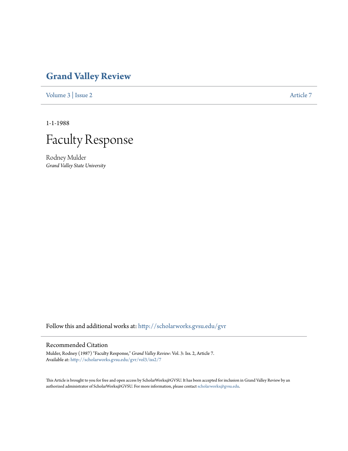## **[Grand Valley Review](http://scholarworks.gvsu.edu/gvr?utm_source=scholarworks.gvsu.edu%2Fgvr%2Fvol3%2Fiss2%2F7&utm_medium=PDF&utm_campaign=PDFCoverPages)**

[Volume 3](http://scholarworks.gvsu.edu/gvr/vol3?utm_source=scholarworks.gvsu.edu%2Fgvr%2Fvol3%2Fiss2%2F7&utm_medium=PDF&utm_campaign=PDFCoverPages) | [Issue 2](http://scholarworks.gvsu.edu/gvr/vol3/iss2?utm_source=scholarworks.gvsu.edu%2Fgvr%2Fvol3%2Fiss2%2F7&utm_medium=PDF&utm_campaign=PDFCoverPages) [Article 7](http://scholarworks.gvsu.edu/gvr/vol3/iss2/7?utm_source=scholarworks.gvsu.edu%2Fgvr%2Fvol3%2Fiss2%2F7&utm_medium=PDF&utm_campaign=PDFCoverPages)

1-1-1988



Rodney Mulder *Grand Valley State University*

Follow this and additional works at: [http://scholarworks.gvsu.edu/gvr](http://scholarworks.gvsu.edu/gvr?utm_source=scholarworks.gvsu.edu%2Fgvr%2Fvol3%2Fiss2%2F7&utm_medium=PDF&utm_campaign=PDFCoverPages)

## Recommended Citation

Mulder, Rodney (1987) "Faculty Response," *Grand Valley Review*: Vol. 3: Iss. 2, Article 7. Available at: [http://scholarworks.gvsu.edu/gvr/vol3/iss2/7](http://scholarworks.gvsu.edu/gvr/vol3/iss2/7?utm_source=scholarworks.gvsu.edu%2Fgvr%2Fvol3%2Fiss2%2F7&utm_medium=PDF&utm_campaign=PDFCoverPages)

This Article is brought to you for free and open access by ScholarWorks@GVSU. It has been accepted for inclusion in Grand Valley Review by an authorized administrator of ScholarWorks@GVSU. For more information, please contact [scholarworks@gvsu.edu.](mailto:scholarworks@gvsu.edu)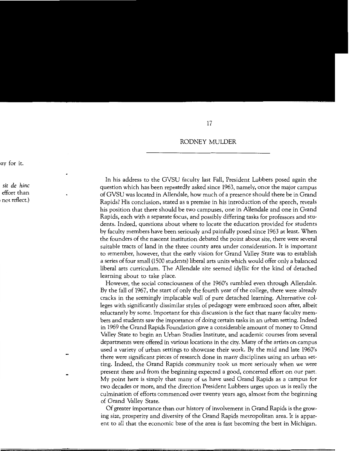## RODNEY MULDER

In his address to the GVSU faculty last Fall, President Lubbers posed again the question which has been repeatedly asked since 1963, namely, once the major campus of GVSU was located in Allendale, how much of a presence should there be in Grand Rapids? His conclusion, stated as a premise in his introduction of the speech, reveals his position that there should be two campuses, one in Allendale and one in Grand Rapids, each with a separate focus, and possibly differing tasks for professors and students. Indeed, questions about where to locate the education provided for students by faculty members have been seriously and painfully posed since 1963 at least. When the founders of the nascent institution debated the point about site, there were several suitable tracts of land in the three county area under consideration. It is important to remember, however, that the early vision for Grand Valley State was to establish a series of four small (1500 students) liberal arts units which would offer only a balanced liberal arts curriculum. The Allendale site seemed idyllic for the kind of detached learning about to take place.

However, the social consciousness of the 1960's rumbled even through Allendale. By the fall of 1967, the start of only the fourth year of the college, there were already cracks in the seemingly implacable wall of pure detached learning. Alternative colleges with significantly dissimilar styles of pedagogy were embraced soon after, albeit reluctantly by some. Important for this discussion is the fact that many faculty members and students saw the importance of doing certain tasks in an urban setting. Indeed in 1969 the Grand Rapids Foundation gave a considerable amount of money to Grand Valley State to begin an Urban Studies Institute, and academic courses from several departments were offered in various locations in the city. Many of the artists on campus used a variety of urban settings to showcase their work. By the mid and late 1960's there were significant pieces of research done in many disciplines using an urban setting. Indeed, the Grand Rapids community took us more seriously when we were present there and from the beginning expected a good, concerted effort on our part. My point here is simply that many of us have used Grand Rapids as a campus for two decades or more, and the direction President Lubbers urges upon us is really the culmination of efforts commenced over twenty years ago, almost from the beginning of Grand Valley State.

Of greater importance than our history of involvement in Grand Rapids is the growing size, prosperity and diversity of the Grand Rapids metropolitan area. It is apparent to all that the economic base of the area is fast becoming the best in Michigan.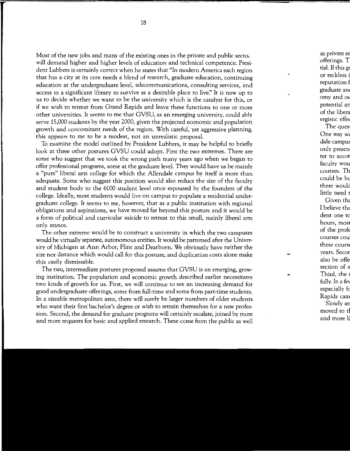Most of the new jobs and many of the existing ones in the private and public sector will demand higher and higher levels of education and technical competence. President Lubbers is certainly correct when he states that "In modern America each region that has a city at its core needs a blend of research, graduate education, continuing education at the undergraduate level, telecommunications, consulting services, and access to a significant library to survive as a desirable place to live:' It is now up to us to decide whether we want to be the university which is the catalyst for this, or if we wish to retreat from Grand Rapids and leave these functions to one or more other universities. It seems to me that GVSU, as an emerging university, could ably serve 15,000 students by the year 2000, given the projected economic and population growth and concomitant needs of the region. With careful, yet aggressive planning, this appears to me to be a modest, not an unrealistic proposal.

To examine the model outlined by President Lubbers, it may be helpful to briefly look at three other postures GVSU could adopt. First the two extremes. There are some who suggest that we took the wrong path many years ago when we began to offer professional programs, some at the graduate level. They would have us be mainly a "pure" liberal arts college for which the Allendale campus by itself is more than adequate. Some who suggest this position would also reduce the size of the faculty and student body to the 6000 student level once espoused by the founders of the college. Ideally, most students would live on campus to populate a residential undergraduate college. It seems to me, however, that as a public institution with regional obligations and aspirations, we have moved far beyond this posture and it would be a form of political and curricular suicide to retreat to this small, mainly liberal arts only stance.

The other extreme would be to construct a university in which the two campuses would be virtually separate, autonomous entities. It would be patterned after the University of Michigan at Ann Arbor, Flint and Dearborn. We obviously have neither the size nor distance which would call for this posture, and duplication costs alone make this easily dismissable.

The two, intermediate postures proposed assume that GVSU is an emerging, growing institution. The population and economic growth described earlier necessitates two kinds of growth for us. First, we will continue to see an increasing demand for good undergraduate offerings, some from full-time and some from part-time students. In a sizeable metropolitan area, there will surely be larger numbers of older students who want their first bachelor's degree or wish to retrain themselves for a new profession. Second, the demand for graduate programs will certainly escalate, joined by more and more requests for basic and applied research. These come from the public as well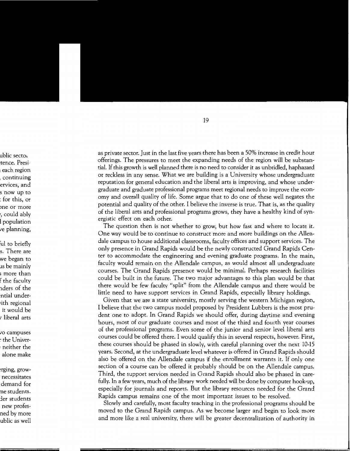as private sector. Just in the last five years there has been a 50% increase in credit hour offerings. The pressures to meet the expanding needs of the region will be substantial. If this growth is well planned there is no need to consider it as unbridled, haphazard or reckless in any sense. What we are building is a University whose undergraduate reputation for general education and the liberal arts is improving, and whose undergraduate and graduate professional programs meet regional needs to improve the economy and overall quality of life. Some argue that to do one of these well negates the potential and quality of the other. I believe the inverse is true. That is, as the quality of the liberal arts and professional programs grows, they have a healthy kind of synergistic effect on each other.

The question then is not whether to grow, but how fast and where to locate it. One way would be to continue to construct more and more buildings on the Allendale campus to house additional classrooms, faculty offices and support services. The only presence in Grand Rapids would be the newly constructed Grand Rapids Center to accommodate the engineering and evening graduate programs. In the main, faculty would remain on the Allendale campus, as would almost all undergraduate courses. The Grand Rapids presence would be minimal. Perhaps research facilities could be built in the future. The two major advantages to this plan would be that there would be few faculty "split" from the Allendale campus and there would be little need to have support services in Grand Rapids, especially library holdings.

Given that we are a state university, mostly serving the western Michigan region, I believe that the two campus model proposed by President Lubbers is the most prudent one to adopt. In Grand Rapids we should offer, during daytime and evening hours, most of our graduate courses and most of the third and fourth year courses of the professional programs. Even some of the junior and senior level liberal arts courses could be offered there. I would qualify this in several respects, however. First, these courses should be phased in slowly, with careful planning over the next 10-15 years. Second, at the undergraduate level whatever is offered in Grand Rapids should also be offered on the Allendale campus if the enrollment warrants it. If only one section of a course can be offered it probably should be on the Allendale campus. Third, the support services needed in Grand Rapids should also be phased in carefully. In a few years, much of the library work needed will be done by computer hook-up, especially for journals and reports. But the library resources needed for the Grand Rapids campus remains one of the most important issues to be resolved.

Slowly and carefully, most faculty teaching in the professional programs should be moved to the Grand Rapids campus. As we become larger and begin to look more and more like a real university, there will be greater decentralization of authority in